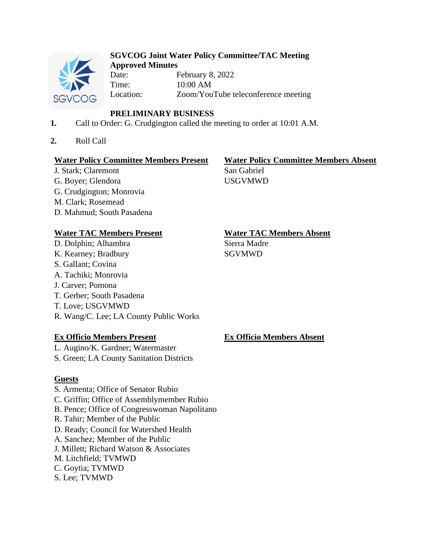

#### **SGVCOG Joint Water Policy Committee/TAC Meeting Approved Minutes**

Date: February 8, 2022 Time: 10:00 AM Location: Zoom/YouTube teleconference meeting

# **PRELIMINARY BUSINESS**

- **1.** Call to Order: G. Crudgington called the meeting to order at 10:01 A.M.
- **2.** Roll Call

# **Water Policy Committee Members Present Water Policy Committee Members Absent**

J. Stark: Claremont San Gabriel G. Boyer; Glendora USGVMWD G. Crudgington; Monrovia M. Clark; Rosemead D. Mahmud; South Pasadena

# **Water TAC Members Present Water TAC Members Absent**

D. Dolphin; Alhambra Sierra Madre K. Kearney; Bradbury SGVMWD S. Gallant; Covina A. Tachiki; Monrovia J. Carver; Pomona T. Gerber; South Pasadena T. Love; USGVMWD R. Wang/C. Lee; LA County Public Works

# **Ex Officio Members Present Ex Officio Members Absent**

L. Augino/K. Gardner; Watermaster

S. Green; LA County Sanitation Districts

# **Guests**

S. Armenta; Office of Senator Rubio C. Griffin; Office of Assemblymember Rubio B. Pence; Office of Congresswoman Napolitano R. Tahir; Member of the Public D. Ready; Council for Watershed Health A. Sanchez; Member of the Public J. Millett; Richard Watson & Associates M. Litchfield; TVMWD C. Goytia; TVMWD S. Lee; TVMWD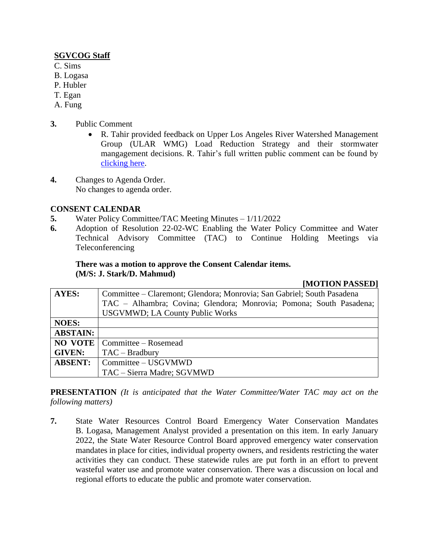### **SGVCOG Staff**

- C. Sims
- B. Logasa
- P. Hubler
- T. Egan
- A. Fung
- **3.** Public Comment
	- R. Tahir provided feedback on Upper Los Angeles River Watershed Management Group (ULAR WMG) Load Reduction Strategy and their stormwater mangagement decisions. R. Tahir's full written public comment can be found by [clicking here.](https://drive.google.com/file/d/1QxT8g194voMzfZAAla8LeWyPoMEirhpP/view?usp=sharing)
- **4.** Changes to Agenda Order. No changes to agenda order.

## **CONSENT CALENDAR**

- **5.** Water Policy Committee/TAC Meeting Minutes 1/11/2022
- **6.** Adoption of Resolution 22-02-WC Enabling the Water Policy Committee and Water Technical Advisory Committee (TAC) to Continue Holding Meetings via Teleconferencing

## **There was a motion to approve the Consent Calendar items. (M/S: J. Stark/D. Mahmud)**

#### **[MOTION PASSED]**

| <b>AYES:</b>    | Committee – Claremont; Glendora; Monrovia; San Gabriel; South Pasadena |
|-----------------|------------------------------------------------------------------------|
|                 | TAC - Alhambra; Covina; Glendora; Monrovia; Pomona; South Pasadena;    |
|                 | <b>USGVMWD; LA County Public Works</b>                                 |
| <b>NOES:</b>    |                                                                        |
| <b>ABSTAIN:</b> |                                                                        |
| <b>NO VOTE</b>  | Committee – Rosemead                                                   |
| <b>GIVEN:</b>   | $TAC - Bradbury$                                                       |
| <b>ABSENT:</b>  | Committee – USGVMWD                                                    |
|                 | TAC - Sierra Madre; SGVMWD                                             |

**PRESENTATION** *(It is anticipated that the Water Committee/Water TAC may act on the following matters)*

**7.** State Water Resources Control Board Emergency Water Conservation Mandates B. Logasa, Management Analyst provided a presentation on this item. In early January 2022, the State Water Resource Control Board approved emergency water conservation mandates in place for cities, individual property owners, and residents restricting the water activities they can conduct. These statewide rules are put forth in an effort to prevent wasteful water use and promote water conservation. There was a discussion on local and regional efforts to educate the public and promote water conservation.